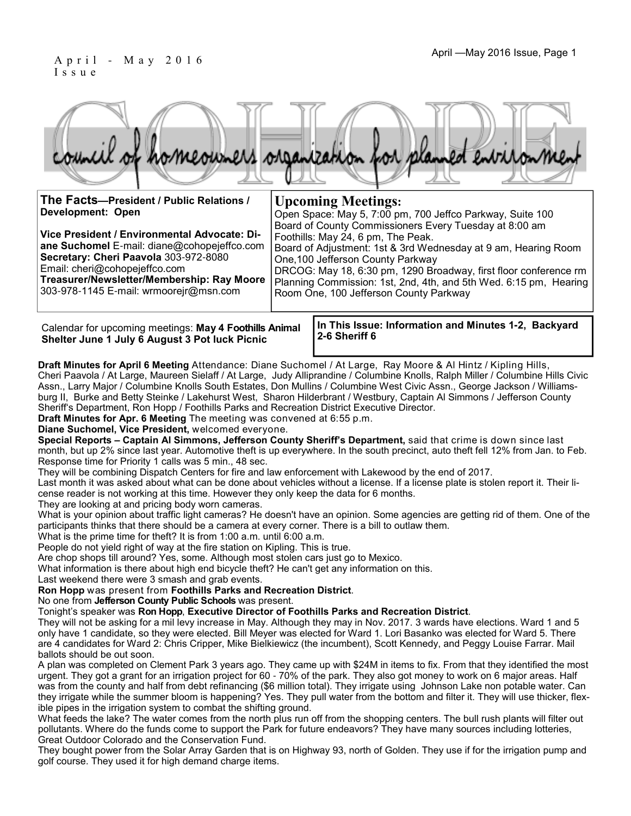#### April - May 2016 Issue, Page 1 I s s u e

|                                          | council of homeowners organization for planned entronment |  |                           |  |  |
|------------------------------------------|-----------------------------------------------------------|--|---------------------------|--|--|
| The Facts-President / Public Relations / |                                                           |  | <b>Upcoming Meetings:</b> |  |  |

| The Facts-President / Public Relations /                                                                                                                                                                                                                      | <b>Upcoming Meetings:</b>                                                                                                                                                                                                                                                                                                    |  |  |  |
|---------------------------------------------------------------------------------------------------------------------------------------------------------------------------------------------------------------------------------------------------------------|------------------------------------------------------------------------------------------------------------------------------------------------------------------------------------------------------------------------------------------------------------------------------------------------------------------------------|--|--|--|
| <b>Development: Open</b>                                                                                                                                                                                                                                      | Open Space: May 5, 7:00 pm, 700 Jeffco Parkway, Suite 100<br>Board of County Commissioners Every Tuesday at 8:00 am                                                                                                                                                                                                          |  |  |  |
| Vice President / Environmental Advocate: Di-<br>ane Suchomel E-mail: diane@cohopejeffco.com<br>Secretary: Cheri Paavola 303-972-8080<br>Email: cheri@cohopejeffco.com<br>Treasurer/Newsletter/Membership: Ray Moore<br>303-978-1145 E-mail: wrmoorejr@msn.com | Foothills: May 24, 6 pm, The Peak.<br>Board of Adjustment: 1st & 3rd Wednesday at 9 am, Hearing Room<br>One, 100 Jefferson County Parkway<br>DRCOG: May 18, 6:30 pm, 1290 Broadway, first floor conference rm<br>Planning Commission: 1st, 2nd, 4th, and 5th Wed. 6:15 pm, Hearing<br>Room One, 100 Jefferson County Parkway |  |  |  |

Calendar for upcoming meetings: **May 4 Foothills Animal Shelter June 1 July 6 August 3 Pot luck Picnic**

**In This Issue: Information and Minutes 1-2, Backyard 2-6 Sheriff 6** 

**Draft Minutes for April 6 Meeting** Attendance: Diane Suchomel / At Large, Ray Moore & Al Hintz / Kipling Hills, Cheri Paavola / At Large, Maureen Sielaff / At Large, Judy Alliprandine / Columbine Knolls, Ralph Miller / Columbine Hills Civic Assn., Larry Major / Columbine Knolls South Estates, Don Mullins / Columbine West Civic Assn., George Jackson / Williamsburg II, Burke and Betty Steinke / Lakehurst West, Sharon Hilderbrant / Westbury, Captain Al Simmons / Jefferson County Sheriff's Department, Ron Hopp / Foothills Parks and Recreation District Executive Director.

**Draft Minutes for Apr. 6 Meeting** The meeting was convened at 6:55 p.m.

#### **Diane Suchomel, Vice President,** welcomed everyone.

**Special Reports – Captain Al Simmons, Jefferson County Sheriff's Department,** said that crime is down since last month, but up 2% since last year. Automotive theft is up everywhere. In the south precinct, auto theft fell 12% from Jan. to Feb. Response time for Priority 1 calls was 5 min., 48 sec.

They will be combining Dispatch Centers for fire and law enforcement with Lakewood by the end of 2017.

Last month it was asked about what can be done about vehicles without a license. If a license plate is stolen report it. Their license reader is not working at this time. However they only keep the data for 6 months.

They are looking at and pricing body worn cameras.

What is your opinion about traffic light cameras? He doesn't have an opinion. Some agencies are getting rid of them. One of the participants thinks that there should be a camera at every corner. There is a bill to outlaw them.

What is the prime time for theft? It is from 1:00 a.m. until 6:00 a.m.

People do not yield right of way at the fire station on Kipling. This is true.

Are chop shops till around? Yes, some. Although most stolen cars just go to Mexico.

What information is there about high end bicycle theft? He can't get any information on this.

Last weekend there were 3 smash and grab events.

**Ron Hopp** was present from **Foothills Parks and Recreation District**.

No one from **Jefferson County Public Schools** was present.

Tonight's speaker was **Ron Hopp**, **Executive Director of Foothills Parks and Recreation District**.

They will not be asking for a mil levy increase in May. Although they may in Nov. 2017. 3 wards have elections. Ward 1 and 5 only have 1 candidate, so they were elected. Bill Meyer was elected for Ward 1. Lori Basanko was elected for Ward 5. There are 4 candidates for Ward 2: Chris Cripper, Mike Bielkiewicz (the incumbent), Scott Kennedy, and Peggy Louise Farrar. Mail ballots should be out soon.

A plan was completed on Clement Park 3 years ago. They came up with \$24M in items to fix. From that they identified the most urgent. They got a grant for an irrigation project for 60 - 70% of the park. They also got money to work on 6 major areas. Half was from the county and half from debt refinancing (\$6 million total). They irrigate using Johnson Lake non potable water. Can they irrigate while the summer bloom is happening? Yes. They pull water from the bottom and filter it. They will use thicker, flexible pipes in the irrigation system to combat the shifting ground.

What feeds the lake? The water comes from the north plus run off from the shopping centers. The bull rush plants will filter out pollutants. Where do the funds come to support the Park for future endeavors? They have many sources including lotteries, Great Outdoor Colorado and the Conservation Fund.

They bought power from the Solar Array Garden that is on Highway 93, north of Golden. They use if for the irrigation pump and golf course. They used it for high demand charge items.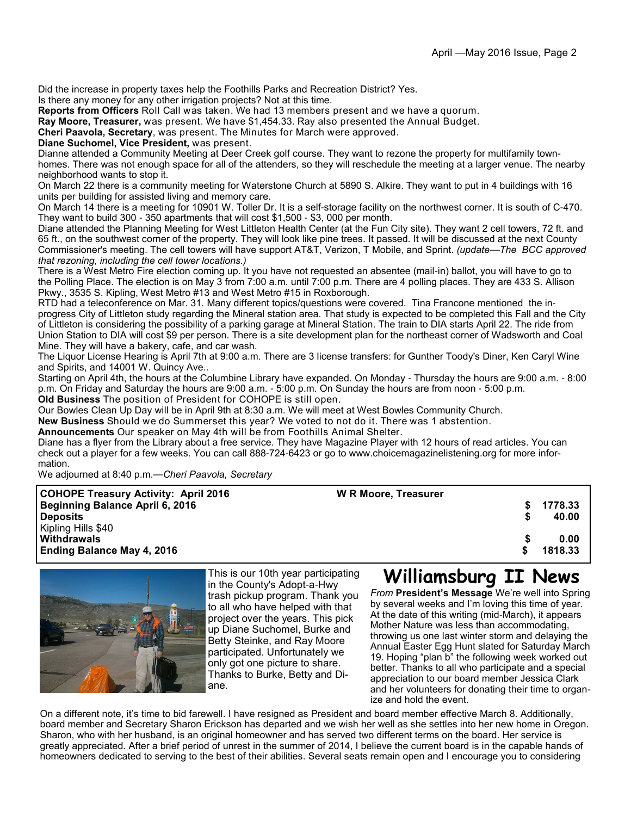Did the increase in property taxes help the Foothills Parks and Recreation District? Yes.

Is there any money for any other irrigation projects? Not at this time.

**Reports from Officers** Roll Call was taken. We had 13 members present and we have a quorum.

**Ray Moore, Treasurer,** was present. We have \$1,454.33. Ray also presented the Annual Budget.

**Cheri Paavola, Secretary**, was present. The Minutes for March were approved.

**Diane Suchomel, Vice President,** was present.

Dianne attended a Community Meeting at Deer Creek golf course. They want to rezone the property for multifamily townhomes. There was not enough space for all of the attenders, so they will reschedule the meeting at a larger venue. The nearby neighborhood wants to stop it.

On March 22 there is a community meeting for Waterstone Church at 5890 S. Alkire. They want to put in 4 buildings with 16 units per building for assisted living and memory care.

On March 14 there is a meeting for 10901 W. Toller Dr. It is a self-storage facility on the northwest corner. It is south of C-470. They want to build 300 - 350 apartments that will cost \$1,500 - \$3, 000 per month.

Diane attended the Planning Meeting for West Littleton Health Center (at the Fun City site). They want 2 cell towers, 72 ft. and 65 ft., on the southwest corner of the property. They will look like pine trees. It passed. It will be discussed at the next County Commissioner's meeting. The cell towers will have support AT&T, Verizon, T Mobile, and Sprint. *(update*—*The BCC approved that rezoning, including the cell tower locations.)*

There is a West Metro Fire election coming up. It you have not requested an absentee (mail-in) ballot, you will have to go to the Polling Place. The election is on May 3 from 7:00 a.m. until 7:00 p.m. There are 4 polling places. They are 433 S. Allison Pkwy., 3535 S. Kipling, West Metro #13 and West Metro #15 in Roxborough.

RTD had a teleconference on Mar. 31. Many different topics/questions were covered. Tina Francone mentioned the inprogress City of Littleton study regarding the Mineral station area. That study is expected to be completed this Fall and the City of Littleton is considering the possibility of a parking garage at Mineral Station. The train to DIA starts April 22. The ride from Union Station to DIA will cost \$9 per person. There is a site development plan for the northeast corner of Wadsworth and Coal Mine. They will have a bakery, cafe, and car wash.

The Liquor License Hearing is April 7th at 9:00 a.m. There are 3 license transfers: for Gunther Toody's Diner, Ken Caryl Wine and Spirits, and 14001 W. Quincy Ave..

Starting on April 4th, the hours at the Columbine Library have expanded. On Monday - Thursday the hours are 9:00 a.m. - 8:00 p.m. On Friday and Saturday the hours are 9:00 a.m. - 5:00 p.m. On Sunday the hours are from noon - 5:00 p.m. **Old Business** The position of President for COHOPE is still open.

Our Bowles Clean Up Day will be in April 9th at 8:30 a.m. We will meet at West Bowles Community Church.

**New Business** Should we do Summerset this year? We voted to not do it. There was 1 abstention.

**Announcements** Our speaker on May 4th will be from Foothills Animal Shelter.

Diane has a flyer from the Library about a free service. They have Magazine Player with 12 hours of read articles. You can check out a player for a few weeks. You can call 888-724-6423 or go to www.choicemagazinelistening.org for more information.

We adjourned at 8:40 p.m.—*Cheri Paavola, Secretary*

| <b>COHOPE Treasury Activity: April 2016</b> | <b>W R Moore, Treasurer</b> |         |
|---------------------------------------------|-----------------------------|---------|
| Beginning Balance April 6, 2016             |                             | 1778.33 |
| <b>Deposits</b>                             |                             | 40.00   |
| Kipling Hills \$40                          |                             |         |
| Withdrawals                                 |                             | 0.00    |
| Ending Balance May 4, 2016                  |                             | 1818.33 |
|                                             |                             |         |



This is our 10th year participating in the County's Adopt-a-Hwy trash pickup program. Thank you to all who have helped with that project over the years. This pick up Diane Suchomel, Burke and Betty Steinke, and Ray Moore participated. Unfortunately we only got one picture to share. Thanks to Burke, Betty and Diane.

# **Williamsburg II News**

*From* **President's Message** We're well into Spring by several weeks and I'm loving this time of year. At the date of this writing (mid-March), it appears Mother Nature was less than accommodating, throwing us one last winter storm and delaying the Annual Easter Egg Hunt slated for Saturday March 19. Hoping "plan b" the following week worked out better. Thanks to all who participate and a special appreciation to our board member Jessica Clark and her volunteers for donating their time to organize and hold the event.

On a different note, it's time to bid farewell. I have resigned as President and board member effective March 8. Additionally, board member and Secretary Sharon Erickson has departed and we wish her well as she settles into her new home in Oregon. Sharon, who with her husband, is an original homeowner and has served two different terms on the board. Her service is greatly appreciated. After a brief period of unrest in the summer of 2014, I believe the current board is in the capable hands of homeowners dedicated to serving to the best of their abilities. Several seats remain open and I encourage you to considering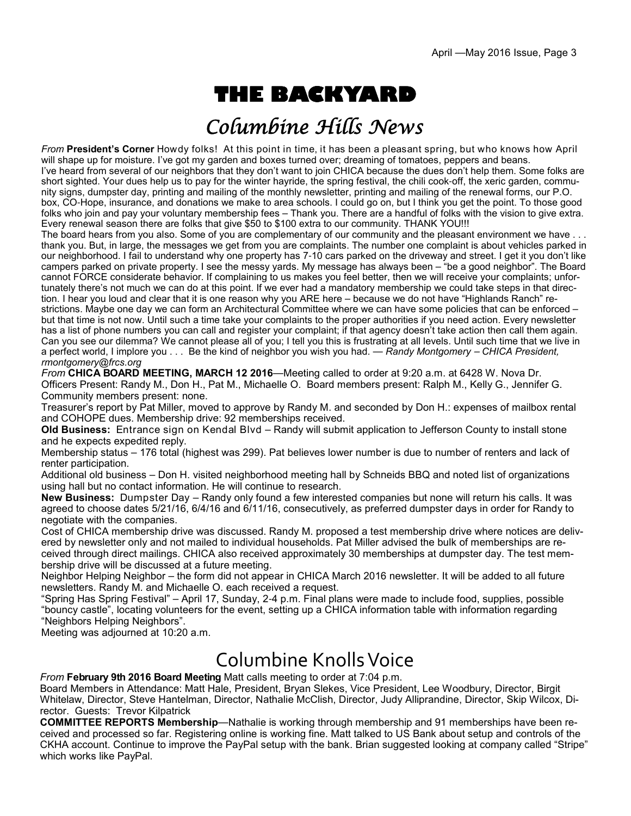# **THE BACKYARD**

## Columbine Hills News

*From* **President's Corner** Howdy folks! At this point in time, it has been a pleasant spring, but who knows how April will shape up for moisture. I've got my garden and boxes turned over; dreaming of tomatoes, peppers and beans. I've heard from several of our neighbors that they don't want to join CHICA because the dues don't help them. Some folks are short sighted. Your dues help us to pay for the winter hayride, the spring festival, the chili cook-off, the xeric garden, community signs, dumpster day, printing and mailing of the monthly newsletter, printing and mailing of the renewal forms, our P.O. box, CO-Hope, insurance, and donations we make to area schools. I could go on, but I think you get the point. To those good folks who join and pay your voluntary membership fees – Thank you. There are a handful of folks with the vision to give extra. Every renewal season there are folks that give \$50 to \$100 extra to our community. THANK YOU!!!

The board hears from you also. Some of you are complementary of our community and the pleasant environment we have . . . thank you. But, in large, the messages we get from you are complaints. The number one complaint is about vehicles parked in our neighborhood. I fail to understand why one property has 7-10 cars parked on the driveway and street. I get it you don't like campers parked on private property. I see the messy yards. My message has always been – "be a good neighbor". The Board cannot FORCE considerate behavior. If complaining to us makes you feel better, then we will receive your complaints; unfortunately there's not much we can do at this point. If we ever had a mandatory membership we could take steps in that direction. I hear you loud and clear that it is one reason why you ARE here – because we do not have "Highlands Ranch" restrictions. Maybe one day we can form an Architectural Committee where we can have some policies that can be enforced – but that time is not now. Until such a time take your complaints to the proper authorities if you need action. Every newsletter has a list of phone numbers you can call and register your complaint; if that agency doesn't take action then call them again. Can you see our dilemma? We cannot please all of you; I tell you this is frustrating at all levels. Until such time that we live in a perfect world, I implore you . . . Be the kind of neighbor you wish you had. — *Randy Montgomery* – *CHICA President, rmontgomery@frcs.org*

*From* **CHICA BOARD MEETING, MARCH 12 2016**—Meeting called to order at 9:20 a.m. at 6428 W. Nova Dr. Officers Present: Randy M., Don H., Pat M., Michaelle O. Board members present: Ralph M., Kelly G., Jennifer G. Community members present: none.

Treasurer's report by Pat Miller, moved to approve by Randy M. and seconded by Don H.: expenses of mailbox rental and COHOPE dues. Membership drive: 92 memberships received.

**Old Business:** Entrance sign on Kendal Blvd – Randy will submit application to Jefferson County to install stone and he expects expedited reply.

Membership status – 176 total (highest was 299). Pat believes lower number is due to number of renters and lack of renter participation.

Additional old business – Don H. visited neighborhood meeting hall by Schneids BBQ and noted list of organizations using hall but no contact information. He will continue to research.

**New Business:** Dumpster Day – Randy only found a few interested companies but none will return his calls. It was agreed to choose dates 5/21/16, 6/4/16 and 6/11/16, consecutively, as preferred dumpster days in order for Randy to negotiate with the companies.

Cost of CHICA membership drive was discussed. Randy M. proposed a test membership drive where notices are delivered by newsletter only and not mailed to individual households. Pat Miller advised the bulk of memberships are received through direct mailings. CHICA also received approximately 30 memberships at dumpster day. The test membership drive will be discussed at a future meeting.

Neighbor Helping Neighbor – the form did not appear in CHICA March 2016 newsletter. It will be added to all future newsletters. Randy M. and Michaelle O. each received a request.

"Spring Has Spring Festival" – April 17, Sunday, 2-4 p.m. Final plans were made to include food, supplies, possible "bouncy castle", locating volunteers for the event, setting up a CHICA information table with information regarding "Neighbors Helping Neighbors".

Meeting was adjourned at 10:20 a.m.

# Columbine Knolls Voice

*From* **February 9th 2016 Board Meeting** Matt calls meeting to order at 7:04 p.m.

Board Members in Attendance: Matt Hale, President, Bryan Slekes, Vice President, Lee Woodbury, Director, Birgit Whitelaw, Director, Steve Hantelman, Director, Nathalie McClish, Director, Judy Alliprandine, Director, Skip Wilcox, Director. Guests: Trevor Kilpatrick

**COMMITTEE REPORTS Membership**—Nathalie is working through membership and 91 memberships have been received and processed so far. Registering online is working fine. Matt talked to US Bank about setup and controls of the CKHA account. Continue to improve the PayPal setup with the bank. Brian suggested looking at company called "Stripe" which works like PayPal.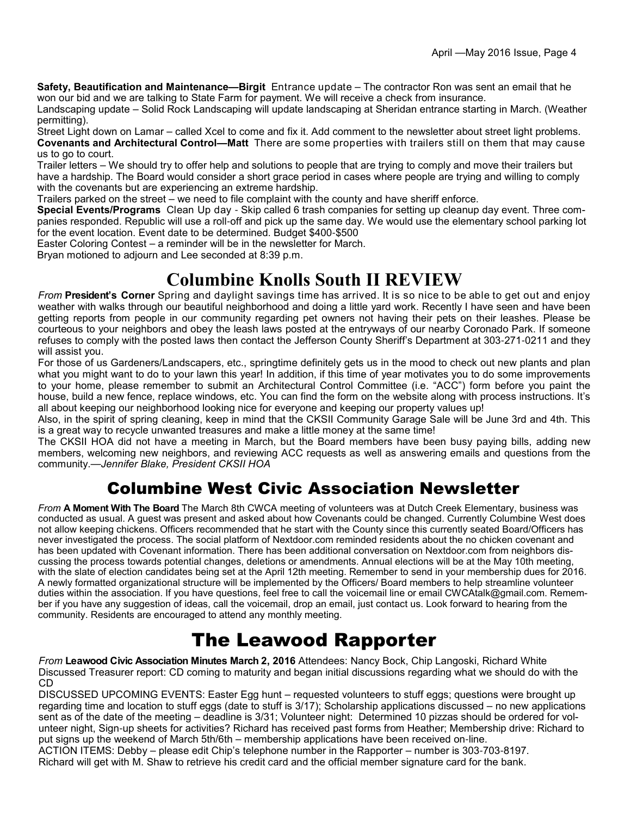**Safety, Beautification and Maintenance—Birgit** Entrance update – The contractor Ron was sent an email that he won our bid and we are talking to State Farm for payment. We will receive a check from insurance.

Landscaping update – Solid Rock Landscaping will update landscaping at Sheridan entrance starting in March. (Weather permitting).

Street Light down on Lamar – called Xcel to come and fix it. Add comment to the newsletter about street light problems. **Covenants and Architectural Control—Matt** There are some properties with trailers still on them that may cause us to go to court.

Trailer letters – We should try to offer help and solutions to people that are trying to comply and move their trailers but have a hardship. The Board would consider a short grace period in cases where people are trying and willing to comply with the covenants but are experiencing an extreme hardship.

Trailers parked on the street – we need to file complaint with the county and have sheriff enforce.

**Special Events/Programs** Clean Up day - Skip called 6 trash companies for setting up cleanup day event. Three companies responded. Republic will use a roll-off and pick up the same day. We would use the elementary school parking lot for the event location. Event date to be determined. Budget \$400-\$500

Easter Coloring Contest – a reminder will be in the newsletter for March.

Bryan motioned to adjourn and Lee seconded at 8:39 p.m.

#### **Columbine Knolls South II REVIEW**

*From* **President's Corner** Spring and daylight savings time has arrived. It is so nice to be able to get out and enjoy weather with walks through our beautiful neighborhood and doing a little yard work. Recently I have seen and have been getting reports from people in our community regarding pet owners not having their pets on their leashes. Please be courteous to your neighbors and obey the leash laws posted at the entryways of our nearby Coronado Park. If someone refuses to comply with the posted laws then contact the Jefferson County Sheriff's Department at 303-271-0211 and they will assist you.

For those of us Gardeners/Landscapers, etc., springtime definitely gets us in the mood to check out new plants and plan what you might want to do to your lawn this year! In addition, if this time of year motivates you to do some improvements to your home, please remember to submit an Architectural Control Committee (i.e. "ACC") form before you paint the house, build a new fence, replace windows, etc. You can find the form on the website along with process instructions. It's all about keeping our neighborhood looking nice for everyone and keeping our property values up!

Also, in the spirit of spring cleaning, keep in mind that the CKSII Community Garage Sale will be June 3rd and 4th. This is a great way to recycle unwanted treasures and make a little money at the same time!

The CKSII HOA did not have a meeting in March, but the Board members have been busy paying bills, adding new members, welcoming new neighbors, and reviewing ACC requests as well as answering emails and questions from the community.—*Jennifer Blake, President CKSII HOA*

## Columbine West Civic Association Newsletter

*From* **A Moment With The Board** The March 8th CWCA meeting of volunteers was at Dutch Creek Elementary, business was conducted as usual. A guest was present and asked about how Covenants could be changed. Currently Columbine West does not allow keeping chickens. Officers recommended that he start with the County since this currently seated Board/Officers has never investigated the process. The social platform of Nextdoor.com reminded residents about the no chicken covenant and has been updated with Covenant information. There has been additional conversation on Nextdoor.com from neighbors discussing the process towards potential changes, deletions or amendments. Annual elections will be at the May 10th meeting, with the slate of election candidates being set at the April 12th meeting. Remember to send in your membership dues for 2016. A newly formatted organizational structure will be implemented by the Officers/ Board members to help streamline volunteer duties within the association. If you have questions, feel free to call the voicemail line or email CWCAtalk@gmail.com. Remember if you have any suggestion of ideas, call the voicemail, drop an email, just contact us. Look forward to hearing from the community. Residents are encouraged to attend any monthly meeting.

## The Leawood Rapporter

*From* **Leawood Civic Association Minutes March 2, 2016** Attendees: Nancy Bock, Chip Langoski, Richard White Discussed Treasurer report: CD coming to maturity and began initial discussions regarding what we should do with the CD

DISCUSSED UPCOMING EVENTS: Easter Egg hunt – requested volunteers to stuff eggs; questions were brought up regarding time and location to stuff eggs (date to stuff is 3/17); Scholarship applications discussed – no new applications sent as of the date of the meeting – deadline is 3/31; Volunteer night: Determined 10 pizzas should be ordered for volunteer night, Sign-up sheets for activities? Richard has received past forms from Heather; Membership drive: Richard to put signs up the weekend of March 5th/6th – membership applications have been received on-line.

ACTION ITEMS: Debby – please edit Chip's telephone number in the Rapporter – number is 303-703-8197. Richard will get with M. Shaw to retrieve his credit card and the official member signature card for the bank.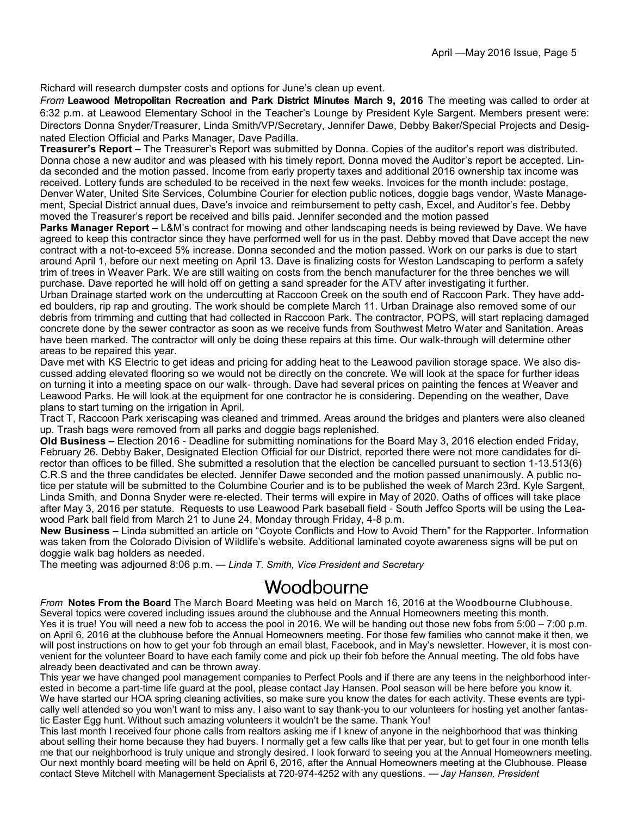Richard will research dumpster costs and options for June's clean up event.

*From* **Leawood Metropolitan Recreation and Park District Minutes March 9, 2016** The meeting was called to order at 6:32 p.m. at Leawood Elementary School in the Teacher's Lounge by President Kyle Sargent. Members present were: Directors Donna Snyder/Treasurer, Linda Smith/VP/Secretary, Jennifer Dawe, Debby Baker/Special Projects and Designated Election Official and Parks Manager, Dave Padilla.

**Treasurer's Report –** The Treasurer's Report was submitted by Donna. Copies of the auditor's report was distributed. Donna chose a new auditor and was pleased with his timely report. Donna moved the Auditor's report be accepted. Linda seconded and the motion passed. Income from early property taxes and additional 2016 ownership tax income was received. Lottery funds are scheduled to be received in the next few weeks. Invoices for the month include: postage, Denver Water, United Site Services, Columbine Courier for election public notices, doggie bags vendor, Waste Management, Special District annual dues, Dave's invoice and reimbursement to petty cash, Excel, and Auditor's fee. Debby moved the Treasurer's report be received and bills paid. Jennifer seconded and the motion passed

**Parks Manager Report** – L&M's contract for mowing and other landscaping needs is being reviewed by Dave. We have agreed to keep this contractor since they have performed well for us in the past. Debby moved that Dave accept the new contract with a not-to-exceed 5% increase. Donna seconded and the motion passed. Work on our parks is due to start around April 1, before our next meeting on April 13. Dave is finalizing costs for Weston Landscaping to perform a safety trim of trees in Weaver Park. We are still waiting on costs from the bench manufacturer for the three benches we will purchase. Dave reported he will hold off on getting a sand spreader for the ATV after investigating it further.

Urban Drainage started work on the undercutting at Raccoon Creek on the south end of Raccoon Park. They have added boulders, rip rap and grouting. The work should be complete March 11. Urban Drainage also removed some of our debris from trimming and cutting that had collected in Raccoon Park. The contractor, POPS, will start replacing damaged concrete done by the sewer contractor as soon as we receive funds from Southwest Metro Water and Sanitation. Areas have been marked. The contractor will only be doing these repairs at this time. Our walk-through will determine other areas to be repaired this year.

Dave met with KS Electric to get ideas and pricing for adding heat to the Leawood pavilion storage space. We also discussed adding elevated flooring so we would not be directly on the concrete. We will look at the space for further ideas on turning it into a meeting space on our walk- through. Dave had several prices on painting the fences at Weaver and Leawood Parks. He will look at the equipment for one contractor he is considering. Depending on the weather, Dave plans to start turning on the irrigation in April.

Tract T, Raccoon Park xeriscaping was cleaned and trimmed. Areas around the bridges and planters were also cleaned up. Trash bags were removed from all parks and doggie bags replenished.

**Old Business –** Election 2016 - Deadline for submitting nominations for the Board May 3, 2016 election ended Friday, February 26. Debby Baker, Designated Election Official for our District, reported there were not more candidates for director than offices to be filled. She submitted a resolution that the election be cancelled pursuant to section 1-13.513(6) C.R.S and the three candidates be elected. Jennifer Dawe seconded and the motion passed unanimously. A public notice per statute will be submitted to the Columbine Courier and is to be published the week of March 23rd. Kyle Sargent, Linda Smith, and Donna Snyder were re-elected. Their terms will expire in May of 2020. Oaths of offices will take place after May 3, 2016 per statute. Requests to use Leawood Park baseball field - South Jeffco Sports will be using the Leawood Park ball field from March 21 to June 24, Monday through Friday, 4-8 p.m.

**New Business –** Linda submitted an article on "Coyote Conflicts and How to Avoid Them" for the Rapporter. Information was taken from the Colorado Division of Wildlife's website. Additional laminated coyote awareness signs will be put on doggie walk bag holders as needed.

The meeting was adjourned 8:06 p.m. — *Linda T. Smith, Vice President and Secretary*

#### Woodbourne

*From* **Notes From the Board** The March Board Meeting was held on March 16, 2016 at the Woodbourne Clubhouse. Several topics were covered including issues around the clubhouse and the Annual Homeowners meeting this month. Yes it is true! You will need a new fob to access the pool in 2016. We will be handing out those new fobs from 5:00 – 7:00 p.m. on April 6, 2016 at the clubhouse before the Annual Homeowners meeting. For those few families who cannot make it then, we will post instructions on how to get your fob through an email blast, Facebook, and in May's newsletter. However, it is most convenient for the volunteer Board to have each family come and pick up their fob before the Annual meeting. The old fobs have already been deactivated and can be thrown away.

This year we have changed pool management companies to Perfect Pools and if there are any teens in the neighborhood interested in become a part-time life guard at the pool, please contact Jay Hansen. Pool season will be here before you know it. We have started our HOA spring cleaning activities, so make sure you know the dates for each activity. These events are typically well attended so you won't want to miss any. I also want to say thank-you to our volunteers for hosting yet another fantastic Easter Egg hunt. Without such amazing volunteers it wouldn't be the same. Thank You!

This last month I received four phone calls from realtors asking me if I knew of anyone in the neighborhood that was thinking about selling their home because they had buyers. I normally get a few calls like that per year, but to get four in one month tells me that our neighborhood is truly unique and strongly desired. I look forward to seeing you at the Annual Homeowners meeting. Our next monthly board meeting will be held on April 6, 2016, after the Annual Homeowners meeting at the Clubhouse. Please contact Steve Mitchell with Management Specialists at 720-974-4252 with any questions. — *Jay Hansen, President*